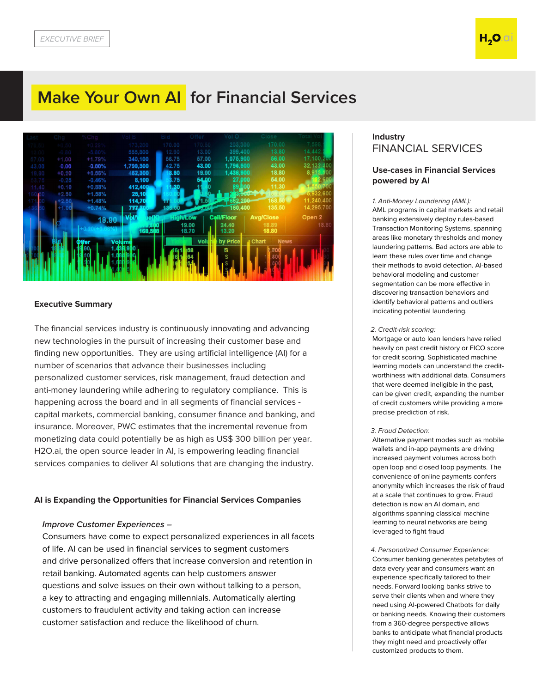# **Make Your Own AI for Financial Services**



#### **Executive Summary**

The financial services industry is continuously innovating and advancing new technologies in the pursuit of increasing their customer base and finding new opportunities. They are using artificial intelligence (AI) for a number of scenarios that advance their businesses including personalized customer services, risk management, fraud detection and anti-money laundering while adhering to regulatory compliance. This is happening across the board and in all segments of financial services capital markets, commercial banking, consumer finance and banking, and insurance. Moreover, PWC estimates that the incremental revenue from monetizing data could potentially be as high as US\$ 300 billion per year. H2O.ai, the open source leader in AI, is empowering leading financial services companies to deliver AI solutions that are changing the industry.

### **AI is Expanding the Opportunities for Financial Services Companies**

#### *Improve Customer Experiences –*

Consumers have come to expect personalized experiences in all facets of life. AI can be used in financial services to segment customers and drive personalized offers that increase conversion and retention in retail banking. Automated agents can help customers answer questions and solve issues on their own without talking to a person, a key to attracting and engaging millennials. Automatically alerting customers to fraudulent activity and taking action can increase customer satisfaction and reduce the likelihood of churn.

# **Industry** FINANCIAL SERVICES

## **Use-cases in Financial Services powered by AI**

1. *Anti-Money Laundering (AML):* AML programs in capital markets and retail banking extensively deploy rules-based Transaction Monitoring Systems, spanning areas like monetary thresholds and money laundering patterns. Bad actors are able to learn these rules over time and change their methods to avoid detection. AI-based behavioral modeling and customer segmentation can be more effective in discovering transaction behaviors and identify behavioral patterns and outliers indicating potential laundering.

#### 2. *Credit-risk scoring:*

Mortgage or auto loan lenders have relied heavily on past credit history or FICO score for credit scoring. Sophisticated machine learning models can understand the creditworthiness with additional data. Consumers that were deemed ineligible in the past, can be given credit, expanding the number of credit customers while providing a more precise prediction of risk.

#### 3. *Fraud Detection:*

Alternative payment modes such as mobile wallets and in-app payments are driving increased payment volumes across both open loop and closed loop payments. The convenience of online payments confers anonymity which increases the risk of fraud at a scale that continues to grow. Fraud detection is now an AI domain, and algorithms spanning classical machine learning to neural networks are being leveraged to fight fraud

4. *Personalized Consumer Experience:* Consumer banking generates petabytes of data every year and consumers want an experience specifically tailored to their needs. Forward looking banks strive to serve their clients when and where they need using AI-powered Chatbots for daily or banking needs. Knowing their customers from a 360-degree perspective allows banks to anticipate what financial products they might need and proactively offer customized products to them.